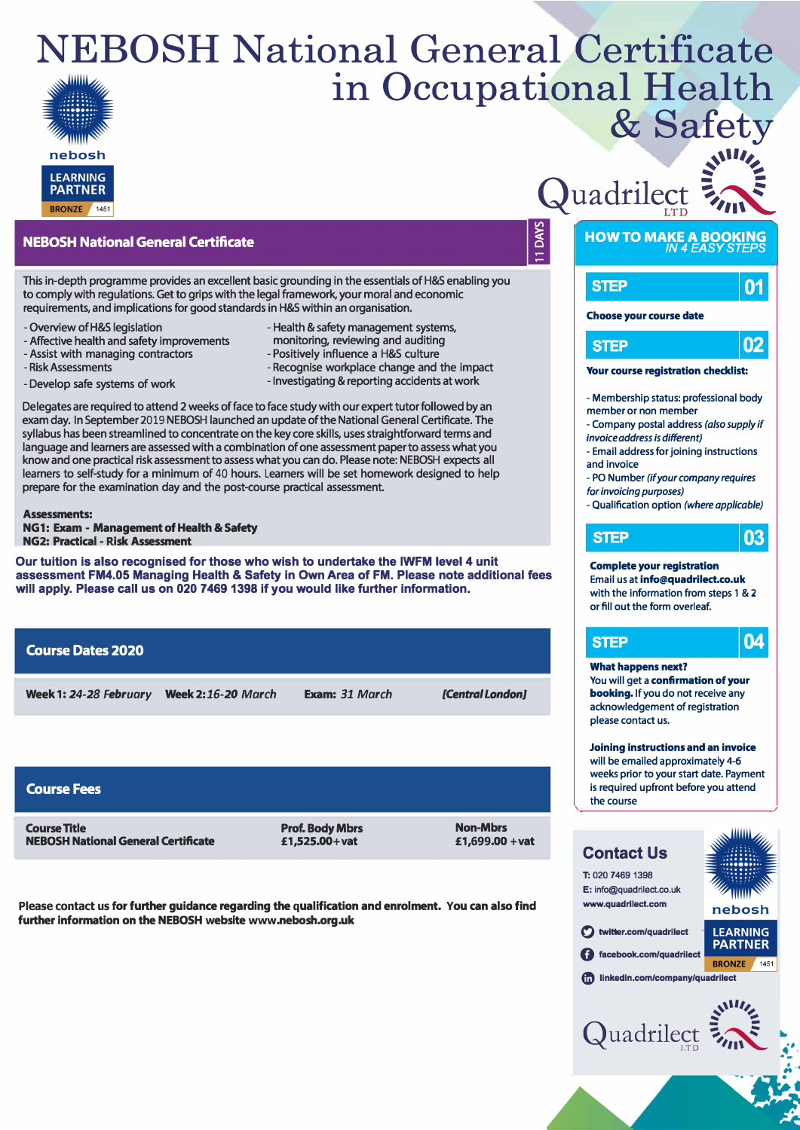## NEBOSH National General Certificate in Occupational Health & Safety



#### **NEBOSH National General Certificate**

This in-depth programme provides an excellent basic grounding in the essentials of H&S enabling you to comply with regulations. Get to grips with the legal framework, your moral and economic requirements, and implications for good standards in H&S within an organisation.

- -Overview of H&S legislation
- Affective health and safety improvements
- Assist with managing contractors
- Risk Assessments
- Develop safe systems of work
- Health & safety management systems, monitoring, reviewing and auditing
- Positively influence a H&S culture
- Recognise workplace change and the impact - Investigating & reporting accidents at work

Delegates are required to attend 2 weeks of face to face study with our expert tutor followed by an exam day. In September 2019 NEBOSH launched an update of the National General Certificate. The syllabus has been streamlined to concentrate on the key core skills, uses straightforward terms and language and learners are assessed with a combination of one assessment paper to assess what you know and one practical risk assessment to assess what you can do. Please note: NEBOSH expects all learners to self-study for a minimum of 40 hours. Learners will be set homework designed to help prepare for the examination day and the post-course practical assessment.

**Assessments: NG1: Exam - Management of Health & Safety NG2: Practical - Risk Assessment** 

**Our tuition is also recognised for those who wish to undertake the IWFM level 4 unit assessment FM4.05 Managing Health & Safety in Own Area of FM. Please note additional fees**  will apply. Please call us on 020 7469 1398 if you would like further information.

#### **Course Dates 2020**

**Week 1:** *24-28 February* **Week 2:** *16-20 March*

- **Exam:** *31 March*
- *[Central London]*

| <b>Course Fees</b>                         |                        |                 |
|--------------------------------------------|------------------------|-----------------|
| <b>Course Title</b>                        | <b>Prof. Body Mbrs</b> | <b>Non-Mbrs</b> |
| <b>NEBOSH National General Certificate</b> | £1,525,00+vat          | £1,699.00 + vat |

**Please contact us for further guidance regarding the qualification and enrolment. You can also find further information on the NEBOSH website www.nebosh.org.uk** 

# Quadrilect

**DAYS** 



### **HOW TO MAKE A BOOKING**  *IN 4 EASY STEPS*



#### **Choose your course date**



#### **Your course registration checklist:**

- Membership status: professional body member or non member
- Company postal address *(also supply if invoice address is different)*
- Email address for joining instructions
- and invoice
- PO Number *(if your company requires for invoicing purposes)*
- Qualification option *(where applicable)*

03

### **STEP**

#### **Complete your registration**  Email us at **info@quadrilect.co.uk**

with the information from steps 1 & 2 or fill out the form overleaf.



#### **What happens next?**

You will get a **confirmation of your booking.** If you do not receive any acknowledgement of registration please contact us.

**Joining instructions and an invoice**  will be emailed approximately 4-6 weeks prior to your start date. Payment is required upfront before you attend the course